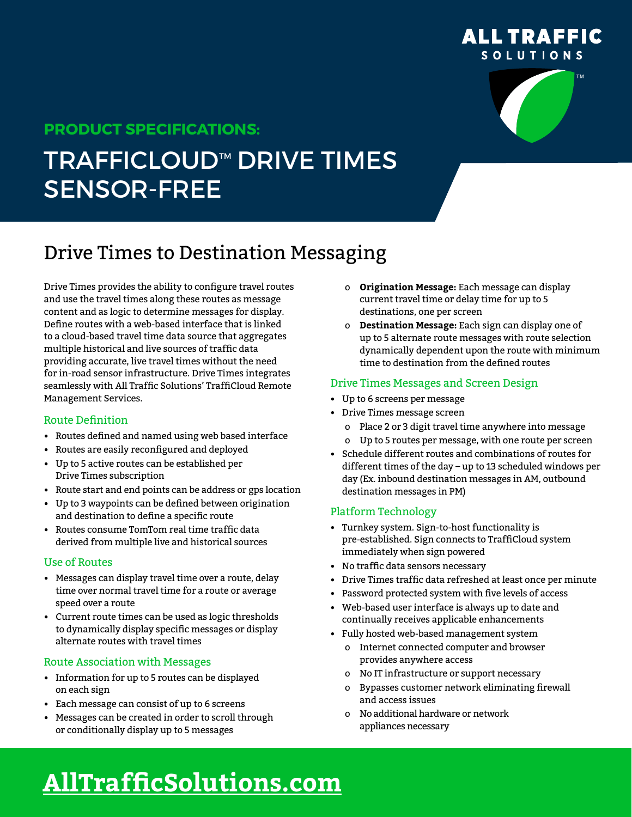

# **PRODUCT SPECIFICATIONS:**

# **TRAFFICLOUD™ DRIVE TIMES** SENSOR-FREE

# Drive Times to Destination Messaging

Drive Times provides the ability to configure travel routes and use the travel times along these routes as message content and as logic to determine messages for display. Define routes with a web-based interface that is linked to a cloud-based travel time data source that aggregates multiple historical and live sources of traffic data providing accurate, live travel times without the need for in-road sensor infrastructure. Drive Times integrates seamlessly with All Traffic Solutions' TraffiCloud Remote Management Services.

# Route Definition

- Routes defined and named using web based interface
- Routes are easily reconfigured and deployed
- Up to 5 active routes can be established per Drive Times subscription
- Route start and end points can be address or gps location
- Up to 3 waypoints can be defined between origination and destination to define a specific route
- Routes consume TomTom real time traffic data derived from multiple live and historical sources

#### Use of Routes

- Messages can display travel time over a route, delay time over normal travel time for a route or average speed over a route
- Current route times can be used as logic thresholds to dynamically display specific messages or display alternate routes with travel times

# Route Association with Messages

- Information for up to 5 routes can be displayed on each sign
- Each message can consist of up to 6 screens
- Messages can be created in order to scroll through or conditionally display up to 5 messages
- о **Origination Message:** Each message can display current travel time or delay time for up to 5 destinations, one per screen
- о **Destination Message:** Each sign can display one of up to 5 alternate route messages with route selection dynamically dependent upon the route with minimum time to destination from the defined routes

#### Drive Times Messages and Screen Design

- Up to 6 screens per message
- Drive Times message screen
	- о Place 2 or 3 digit travel time anywhere into message
	- о Up to 5 routes per message, with one route per screen
- Schedule different routes and combinations of routes for different times of the day – up to 13 scheduled windows per day (Ex. inbound destination messages in AM, outbound destination messages in PM)

# Platform Technology

- Turnkey system. Sign-to-host functionality is pre-established. Sign connects to TraffiCloud system immediately when sign powered
- No traffic data sensors necessary
- Drive Times traffic data refreshed at least once per minute
- Password protected system with five levels of access
- Web-based user interface is always up to date and continually receives applicable enhancements
- Fully hosted web-based management system
	- о Internet connected computer and browser provides anywhere access
	- о No IT infrastructure or support necessary
	- о Bypasses customer network eliminating firewall and access issues
	- о No additional hardware or network appliances necessary

# **[AllTrafficSolutions.com](http://www.alltrafficsolutions.com)**